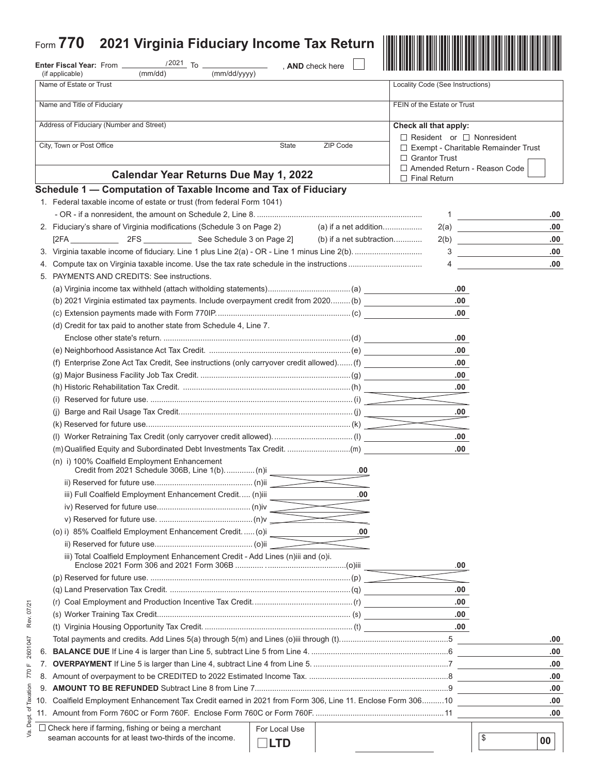| Form $770$<br>2021 Virginia Fiduciary Income Tax Return                                                      |                                                                    |                          |                                       |                                    |
|--------------------------------------------------------------------------------------------------------------|--------------------------------------------------------------------|--------------------------|---------------------------------------|------------------------------------|
| Enter Fiscal Year: From __                                                                                   |                                                                    | , AND check here         |                                       |                                    |
| (mm/dd/yyyy)<br>(if applicable)<br>(mm/dd)<br>Name of Estate or Trust                                        |                                                                    |                          | Locality Code (See Instructions)      |                                    |
|                                                                                                              |                                                                    |                          |                                       |                                    |
| Name and Title of Fiduciary                                                                                  |                                                                    |                          | FEIN of the Estate or Trust           |                                    |
| Address of Fiduciary (Number and Street)                                                                     | Check all that apply:                                              |                          |                                       |                                    |
| City, Town or Post Office<br>ZIP Code<br>State                                                               |                                                                    |                          | $\Box$ Resident or $\Box$ Nonresident |                                    |
|                                                                                                              | $\Box$ Exempt - Charitable Remainder Trust<br>$\Box$ Grantor Trust |                          |                                       |                                    |
|                                                                                                              |                                                                    |                          | □ Amended Return - Reason Code        |                                    |
| <b>Calendar Year Returns Due May 1, 2022</b>                                                                 |                                                                    |                          | $\Box$ Final Return                   |                                    |
| Schedule 1 - Computation of Taxable Income and Tax of Fiduciary                                              |                                                                    |                          |                                       |                                    |
| 1. Federal taxable income of estate or trust (from federal Form 1041)                                        |                                                                    |                          |                                       |                                    |
|                                                                                                              |                                                                    |                          |                                       | 1 $\overline{\phantom{a}1}$<br>.00 |
| 2. Fiduciary's share of Virginia modifications (Schedule 3 on Page 2)                                        |                                                                    |                          |                                       | .00.<br>2(a)                       |
|                                                                                                              |                                                                    | (b) if a net subtraction |                                       | .00<br>2(b)                        |
|                                                                                                              |                                                                    |                          | 3                                     | .00                                |
|                                                                                                              |                                                                    |                          | 4                                     | .00                                |
| 5. PAYMENTS AND CREDITS: See instructions.                                                                   |                                                                    |                          |                                       |                                    |
|                                                                                                              |                                                                    |                          | .00                                   |                                    |
| (b) 2021 Virginia estimated tax payments. Include overpayment credit from 2020 (b)                           |                                                                    |                          | .00.<br>.00                           |                                    |
|                                                                                                              |                                                                    |                          |                                       |                                    |
| (d) Credit for tax paid to another state from Schedule 4, Line 7.                                            |                                                                    |                          |                                       |                                    |
|                                                                                                              |                                                                    |                          | .00<br>.00.                           |                                    |
| (f) Enterprise Zone Act Tax Credit, See instructions (only carryover credit allowed) (f)                     |                                                                    |                          | .00                                   |                                    |
|                                                                                                              |                                                                    |                          | .00                                   |                                    |
|                                                                                                              |                                                                    |                          | .00                                   |                                    |
|                                                                                                              |                                                                    |                          |                                       |                                    |
|                                                                                                              |                                                                    |                          | .00                                   |                                    |
|                                                                                                              |                                                                    |                          |                                       |                                    |
| (I) Worker Retraining Tax Credit (only carryover credit allowed)(I)                                          |                                                                    |                          | .00                                   |                                    |
|                                                                                                              |                                                                    |                          | .00                                   |                                    |
| (n) i) 100% Coalfield Employment Enhancement                                                                 |                                                                    | .00                      |                                       |                                    |
|                                                                                                              |                                                                    |                          |                                       |                                    |
| iii) Full Coalfield Employment Enhancement Credit (n)iii                                                     |                                                                    | 00                       |                                       |                                    |
|                                                                                                              |                                                                    |                          |                                       |                                    |
|                                                                                                              |                                                                    |                          |                                       |                                    |
| (o) i) 85% Coalfield Employment Enhancement Credit.  (o)i                                                    |                                                                    | 00                       |                                       |                                    |
|                                                                                                              |                                                                    |                          |                                       |                                    |
| iii) Total Coalfield Employment Enhancement Credit - Add Lines (n)iii and (o)i.                              |                                                                    |                          | .00                                   |                                    |
|                                                                                                              |                                                                    |                          |                                       |                                    |
|                                                                                                              |                                                                    |                          | .00                                   |                                    |
|                                                                                                              |                                                                    |                          | .00                                   |                                    |
|                                                                                                              |                                                                    |                          | .00                                   |                                    |
|                                                                                                              |                                                                    |                          | $.00 \cdot$                           |                                    |
|                                                                                                              |                                                                    |                          |                                       | .00                                |
| 6.                                                                                                           |                                                                    |                          |                                       | .00                                |
| 7.                                                                                                           |                                                                    |                          |                                       | .00                                |
| ୪.                                                                                                           |                                                                    |                          |                                       | .00                                |
| 9.                                                                                                           |                                                                    |                          |                                       | .00                                |
| Coalfield Employment Enhancement Tax Credit earned in 2021 from Form 306, Line 11. Enclose Form 30610<br>10. |                                                                    |                          |                                       | .00                                |
|                                                                                                              |                                                                    |                          |                                       | .00                                |
| $\Box$ Check here if farming, fishing or being a merchant                                                    | For Local Use                                                      |                          |                                       |                                    |
| seaman accounts for at least two-thirds of the income.                                                       | <b>LTD</b>                                                         |                          |                                       | \$<br>00                           |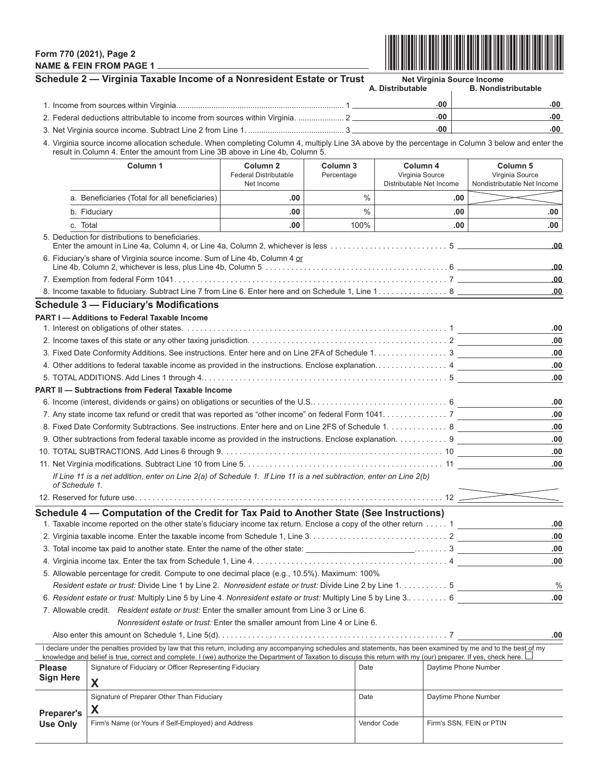## **Form 770 (2021), Page 2 NAME & FEIN FROM PAGE 1**



|                                                                                                           | Schedule 2 - Virginia Taxable Income of a Nonresident Estate or Trust                                                                                                                                                                                                                                                                      |                                                                   |                        |               | <b>Net Virginia Source Income</b><br>A. Distributable   |     | <b>B. Nondistributable</b>                                            |  |
|-----------------------------------------------------------------------------------------------------------|--------------------------------------------------------------------------------------------------------------------------------------------------------------------------------------------------------------------------------------------------------------------------------------------------------------------------------------------|-------------------------------------------------------------------|------------------------|---------------|---------------------------------------------------------|-----|-----------------------------------------------------------------------|--|
|                                                                                                           |                                                                                                                                                                                                                                                                                                                                            |                                                                   |                        |               | .00 <sub>1</sub>                                        |     | -00                                                                   |  |
| 2. Federal deductions attributable to income from sources within Virginia.  2                             |                                                                                                                                                                                                                                                                                                                                            |                                                                   |                        |               | .00                                                     |     | .00                                                                   |  |
|                                                                                                           |                                                                                                                                                                                                                                                                                                                                            |                                                                   |                        |               | .00                                                     |     | -00                                                                   |  |
|                                                                                                           | 4. Virginia source income allocation schedule. When completing Column 4, multiply Line 3A above by the percentage in Column 3 below and enter the<br>result in Column 4. Enter the amount from Line 3B above in Line 4b, Column 5.                                                                                                         |                                                                   |                        |               |                                                         |     |                                                                       |  |
|                                                                                                           | Column 1                                                                                                                                                                                                                                                                                                                                   | Column <sub>2</sub><br><b>Federal Distributable</b><br>Net Income | Column 3<br>Percentage |               | Column 4<br>Virginia Source<br>Distributable Net Income |     | Column <sub>5</sub><br>Virginia Source<br>Nondistributable Net Income |  |
|                                                                                                           | a. Beneficiaries (Total for all beneficiaries)                                                                                                                                                                                                                                                                                             | .00                                                               |                        | $\frac{0}{0}$ |                                                         | .00 |                                                                       |  |
|                                                                                                           | b. Fiduciary                                                                                                                                                                                                                                                                                                                               | .00                                                               |                        | $\frac{0}{0}$ |                                                         | .00 |                                                                       |  |
| c. Total                                                                                                  |                                                                                                                                                                                                                                                                                                                                            | .00                                                               |                        | 100%          |                                                         | .00 | .00                                                                   |  |
|                                                                                                           | 5. Deduction for distributions to beneficiaries.                                                                                                                                                                                                                                                                                           |                                                                   |                        |               |                                                         |     | .00                                                                   |  |
|                                                                                                           | 6. Fiduciary's share of Virginia source income. Sum of Line 4b, Column 4 or                                                                                                                                                                                                                                                                |                                                                   |                        |               |                                                         |     | .00                                                                   |  |
|                                                                                                           |                                                                                                                                                                                                                                                                                                                                            |                                                                   |                        |               |                                                         |     | .00.                                                                  |  |
|                                                                                                           |                                                                                                                                                                                                                                                                                                                                            |                                                                   |                        |               |                                                         |     | .00.                                                                  |  |
|                                                                                                           | <b>Schedule 3 - Fiduciary's Modifications</b>                                                                                                                                                                                                                                                                                              |                                                                   |                        |               |                                                         |     |                                                                       |  |
|                                                                                                           | <b>PART I - Additions to Federal Taxable Income</b>                                                                                                                                                                                                                                                                                        |                                                                   |                        |               |                                                         |     |                                                                       |  |
|                                                                                                           |                                                                                                                                                                                                                                                                                                                                            |                                                                   |                        |               |                                                         |     | .00                                                                   |  |
|                                                                                                           |                                                                                                                                                                                                                                                                                                                                            |                                                                   |                        |               |                                                         |     | .00                                                                   |  |
|                                                                                                           | 3. Fixed Date Conformity Additions. See instructions. Enter here and on Line 2FA of Schedule 1. 3                                                                                                                                                                                                                                          |                                                                   |                        |               |                                                         |     | .00                                                                   |  |
|                                                                                                           | 4. Other additions to federal taxable income as provided in the instructions. Enclose explanation 4                                                                                                                                                                                                                                        |                                                                   |                        |               |                                                         |     | .00                                                                   |  |
|                                                                                                           |                                                                                                                                                                                                                                                                                                                                            |                                                                   |                        |               |                                                         |     | .00                                                                   |  |
|                                                                                                           | <b>PART II - Subtractions from Federal Taxable Income</b>                                                                                                                                                                                                                                                                                  |                                                                   |                        |               |                                                         |     |                                                                       |  |
|                                                                                                           |                                                                                                                                                                                                                                                                                                                                            |                                                                   |                        |               |                                                         |     | .00                                                                   |  |
|                                                                                                           | 7. Any state income tax refund or credit that was reported as "other income" on federal Form 1041. 7                                                                                                                                                                                                                                       |                                                                   |                        |               |                                                         |     | .00.                                                                  |  |
|                                                                                                           | 8. Fixed Date Conformity Subtractions. See instructions. Enter here and on Line 2FS of Schedule 1. 8                                                                                                                                                                                                                                       |                                                                   |                        |               |                                                         |     | .00<br>.00                                                            |  |
| 9. Other subtractions from federal taxable income as provided in the instructions. Enclose explanation. 9 |                                                                                                                                                                                                                                                                                                                                            |                                                                   |                        |               |                                                         |     | .00                                                                   |  |
|                                                                                                           |                                                                                                                                                                                                                                                                                                                                            |                                                                   |                        |               |                                                         |     | .00                                                                   |  |
| of Schedule 1.                                                                                            | If Line 11 is a net addition, enter on Line 2(a) of Schedule 1. If Line 11 is a net subtraction, enter on Line 2(b)                                                                                                                                                                                                                        |                                                                   |                        |               |                                                         |     |                                                                       |  |
|                                                                                                           |                                                                                                                                                                                                                                                                                                                                            |                                                                   |                        |               |                                                         |     |                                                                       |  |
|                                                                                                           | Schedule 4 – Computation of the Credit for Tax Paid to Another State (See Instructions)                                                                                                                                                                                                                                                    |                                                                   |                        |               |                                                         |     |                                                                       |  |
|                                                                                                           | 1. Taxable income reported on the other state's fiduciary income tax return. Enclose a copy of the other return  1                                                                                                                                                                                                                         |                                                                   |                        |               |                                                         |     | .00                                                                   |  |
|                                                                                                           |                                                                                                                                                                                                                                                                                                                                            |                                                                   |                        |               |                                                         |     | .00                                                                   |  |
|                                                                                                           |                                                                                                                                                                                                                                                                                                                                            |                                                                   |                        |               |                                                         |     | .00                                                                   |  |
|                                                                                                           |                                                                                                                                                                                                                                                                                                                                            |                                                                   |                        |               |                                                         |     | .00                                                                   |  |
|                                                                                                           | 5. Allowable percentage for credit. Compute to one decimal place (e.g., 10.5%). Maximum: 100%                                                                                                                                                                                                                                              |                                                                   |                        |               |                                                         |     |                                                                       |  |
|                                                                                                           | Resident estate or trust: Divide Line 1 by Line 2. Nonresident estate or trust: Divide Line 2 by Line 1. 5                                                                                                                                                                                                                                 |                                                                   |                        |               |                                                         |     | $\%$                                                                  |  |
|                                                                                                           | 6. Resident estate or trust: Multiply Line 5 by Line 4. Nonresident estate or trust: Multiply Line 5 by Line 3 6                                                                                                                                                                                                                           |                                                                   |                        |               |                                                         |     | .00                                                                   |  |
|                                                                                                           | 7. Allowable credit. Resident estate or trust: Enter the smaller amount from Line 3 or Line 6.                                                                                                                                                                                                                                             |                                                                   |                        |               |                                                         |     |                                                                       |  |
|                                                                                                           | Nonresident estate or trust: Enter the smaller amount from Line 4 or Line 6.                                                                                                                                                                                                                                                               |                                                                   |                        |               |                                                         |     |                                                                       |  |
|                                                                                                           |                                                                                                                                                                                                                                                                                                                                            |                                                                   |                        |               |                                                         |     | .00                                                                   |  |
|                                                                                                           | I declare under the penalties provided by law that this return, including any accompanying schedules and statements, has been examined by me and to the best of my<br>knowledge and belief is true, correct and complete. I (we) authorize the Department of Taxation to discuss this return with my (our) preparer. If yes, check here. L |                                                                   |                        |               |                                                         |     |                                                                       |  |
| <b>Please</b>                                                                                             | Signature of Fiduciary or Officer Representing Fiduciary                                                                                                                                                                                                                                                                                   |                                                                   |                        | Date          |                                                         |     | Daytime Phone Number                                                  |  |
| <b>Sign Here</b>                                                                                          | X                                                                                                                                                                                                                                                                                                                                          |                                                                   |                        |               |                                                         |     |                                                                       |  |
|                                                                                                           | Signature of Preparer Other Than Fiduciary                                                                                                                                                                                                                                                                                                 |                                                                   |                        | Date          |                                                         |     | Daytime Phone Number                                                  |  |
|                                                                                                           | X                                                                                                                                                                                                                                                                                                                                          |                                                                   |                        |               |                                                         |     |                                                                       |  |
| <b>Preparer's</b><br><b>Use Only</b>                                                                      | Firm's Name (or Yours if Self-Employed) and Address                                                                                                                                                                                                                                                                                        |                                                                   |                        |               | Vendor Code                                             |     | Firm's SSN, FEIN or PTIN                                              |  |
|                                                                                                           |                                                                                                                                                                                                                                                                                                                                            |                                                                   |                        |               |                                                         |     |                                                                       |  |